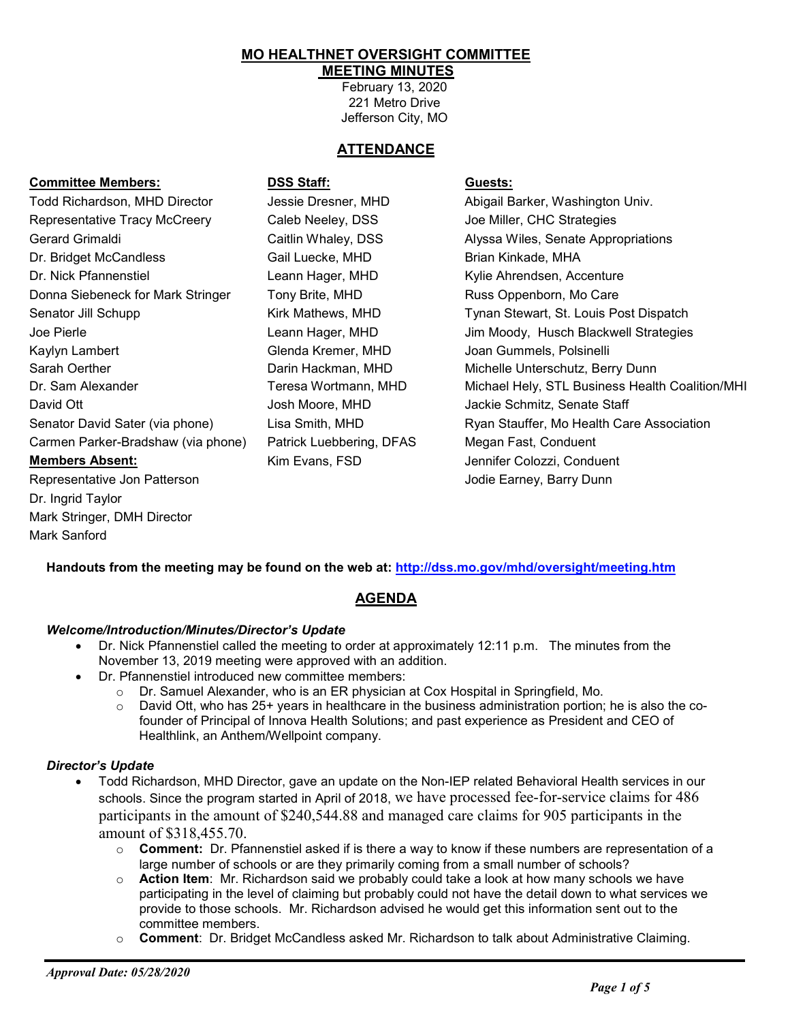#### **MO HEALTHNET OVERSIGHT COMMITTEE MEETING MINUTES**

February 13, 2020 221 Metro Drive Jefferson City, MO

# **ATTENDANCE**

## **Committee Members: DSS Staff: Guests:**

Todd Richardson, MHD Director **Jessie Dresner, MHD** Abigail Barker, Washington Univ. Representative Tracy McCreery Caleb Neeley, DSS Joe Miller, CHC Strategies Gerard Grimaldi Caitlin Whaley, DSS Alyssa Wiles, Senate Appropriations Dr. Bridget McCandless Gail Luecke, MHD Brian Kinkade, MHA Dr. Nick Pfannenstiel Leann Hager, MHD Kylie Ahrendsen, Accenture Donna Siebeneck for Mark Stringer Tony Brite, MHD Russ Oppenborn, Mo Care Kaylyn Lambert Glenda Kremer, MHD Joan Gummels, Polsinelli Sarah Oerther Darin Hackman, MHD Michelle Unterschutz, Berry Dunn David Ott Josh Moore, MHD Jackie Schmitz, Senate Staff Carmen Parker-Bradshaw (via phone) Patrick Luebbering, DFAS Megan Fast, Conduent **Members Absent:** Kim Evans, FSD Jennifer Colozzi, Conduent Representative Jon Patterson **Jones Communist Communist Communist Communist Communist Communist Communist Communist Communist Communist Communist Communist Communist Communist Communist Communist Communist Communist Commun** Dr. Ingrid Taylor Mark Stringer, DMH Director

Senator Jill Schupp **Kirk Mathews, MHD** Tynan Stewart, St. Louis Post Dispatch Joe Pierle Leann Hager, MHD Jim Moody, Husch Blackwell Strategies Dr. Sam Alexander Teresa Wortmann, MHD Michael Hely, STL Business Health Coalition/MHI Senator David Sater (via phone) Lisa Smith, MHD Ryan Stauffer, Mo Health Care Association

**Handouts from the meeting may be found on the web at:<http://dss.mo.gov/mhd/oversight/meeting.htm>**

# **AGENDA**

#### *Welcome/Introduction/Minutes/Director's Update*

- Dr. Nick Pfannenstiel called the meeting to order at approximately 12:11 p.m. The minutes from the November 13, 2019 meeting were approved with an addition.
- Dr. Pfannenstiel introduced new committee members:
	- $\circ$  Dr. Samuel Alexander, who is an ER physician at Cox Hospital in Springfield, Mo.
	- $\circ$  David Ott, who has 25+ years in healthcare in the business administration portion; he is also the cofounder of Principal of Innova Health Solutions; and past experience as President and CEO of Healthlink, an Anthem/Wellpoint company.

#### *Director's Update*

Mark Sanford

- Todd Richardson, MHD Director, gave an update on the Non-IEP related Behavioral Health services in our schools. Since the program started in April of 2018, we have processed fee-for-service claims for 486 participants in the amount of \$240,544.88 and managed care claims for 905 participants in the amount of \$318,455.70.
	- o **Comment:** Dr. Pfannenstiel asked if is there a way to know if these numbers are representation of a large number of schools or are they primarily coming from a small number of schools?
	- o **Action Item**: Mr. Richardson said we probably could take a look at how many schools we have participating in the level of claiming but probably could not have the detail down to what services we provide to those schools. Mr. Richardson advised he would get this information sent out to the committee members.
	- o **Comment**: Dr. Bridget McCandless asked Mr. Richardson to talk about Administrative Claiming.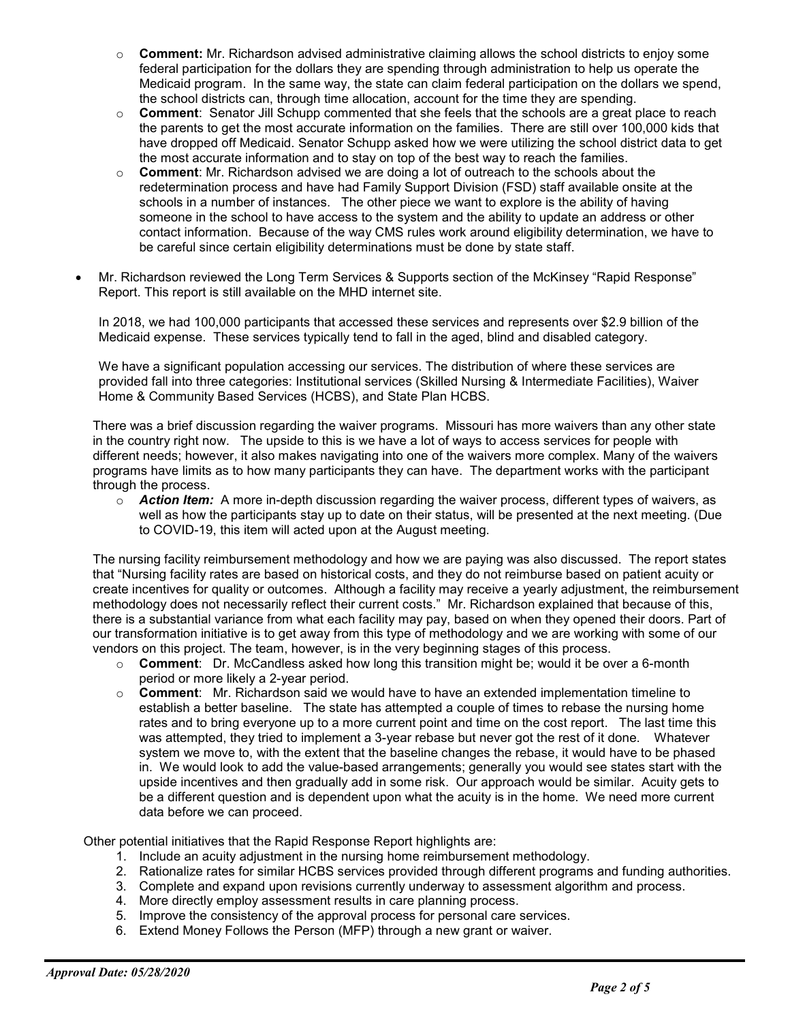- o **Comment:** Mr. Richardson advised administrative claiming allows the school districts to enjoy some federal participation for the dollars they are spending through administration to help us operate the Medicaid program. In the same way, the state can claim federal participation on the dollars we spend, the school districts can, through time allocation, account for the time they are spending.
- o **Comment**: Senator Jill Schupp commented that she feels that the schools are a great place to reach the parents to get the most accurate information on the families. There are still over 100,000 kids that have dropped off Medicaid. Senator Schupp asked how we were utilizing the school district data to get the most accurate information and to stay on top of the best way to reach the families.
- o **Comment**: Mr. Richardson advised we are doing a lot of outreach to the schools about the redetermination process and have had Family Support Division (FSD) staff available onsite at the schools in a number of instances. The other piece we want to explore is the ability of having someone in the school to have access to the system and the ability to update an address or other contact information. Because of the way CMS rules work around eligibility determination, we have to be careful since certain eligibility determinations must be done by state staff.
- Mr. Richardson reviewed the Long Term Services & Supports section of the McKinsey "Rapid Response" Report. This report is still available on the MHD internet site.

In 2018, we had 100,000 participants that accessed these services and represents over \$2.9 billion of the Medicaid expense. These services typically tend to fall in the aged, blind and disabled category.

We have a significant population accessing our services. The distribution of where these services are provided fall into three categories: Institutional services (Skilled Nursing & Intermediate Facilities), Waiver Home & Community Based Services (HCBS), and State Plan HCBS.

There was a brief discussion regarding the waiver programs. Missouri has more waivers than any other state in the country right now. The upside to this is we have a lot of ways to access services for people with different needs; however, it also makes navigating into one of the waivers more complex. Many of the waivers programs have limits as to how many participants they can have. The department works with the participant through the process.

o *Action Item:* A more in-depth discussion regarding the waiver process, different types of waivers, as well as how the participants stay up to date on their status, will be presented at the next meeting. (Due to COVID-19, this item will acted upon at the August meeting.

The nursing facility reimbursement methodology and how we are paying was also discussed. The report states that "Nursing facility rates are based on historical costs, and they do not reimburse based on patient acuity or create incentives for quality or outcomes. Although a facility may receive a yearly adjustment, the reimbursement methodology does not necessarily reflect their current costs." Mr. Richardson explained that because of this, there is a substantial variance from what each facility may pay, based on when they opened their doors. Part of our transformation initiative is to get away from this type of methodology and we are working with some of our vendors on this project. The team, however, is in the very beginning stages of this process.

- o **Comment**: Dr. McCandless asked how long this transition might be; would it be over a 6-month period or more likely a 2-year period.
- o **Comment**: Mr. Richardson said we would have to have an extended implementation timeline to establish a better baseline. The state has attempted a couple of times to rebase the nursing home rates and to bring everyone up to a more current point and time on the cost report. The last time this was attempted, they tried to implement a 3-year rebase but never got the rest of it done. Whatever system we move to, with the extent that the baseline changes the rebase, it would have to be phased in. We would look to add the value-based arrangements; generally you would see states start with the upside incentives and then gradually add in some risk. Our approach would be similar. Acuity gets to be a different question and is dependent upon what the acuity is in the home. We need more current data before we can proceed.

Other potential initiatives that the Rapid Response Report highlights are:

- 1. Include an acuity adjustment in the nursing home reimbursement methodology.
- 2. Rationalize rates for similar HCBS services provided through different programs and funding authorities.
- 3. Complete and expand upon revisions currently underway to assessment algorithm and process.
- 4. More directly employ assessment results in care planning process.
- 5. Improve the consistency of the approval process for personal care services.
- 6. Extend Money Follows the Person (MFP) through a new grant or waiver.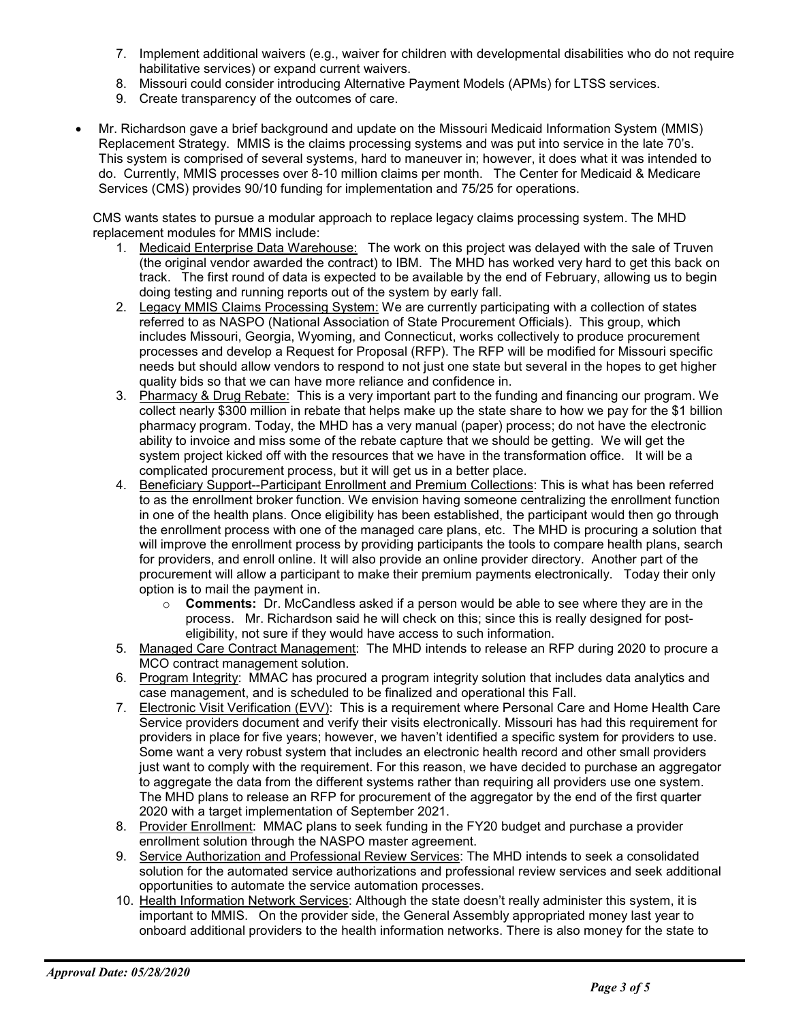- 7. Implement additional waivers (e.g., waiver for children with developmental disabilities who do not require habilitative services) or expand current waivers.
- 8. Missouri could consider introducing Alternative Payment Models (APMs) for LTSS services.
- 9. Create transparency of the outcomes of care.
- Mr. Richardson gave a brief background and update on the Missouri Medicaid Information System (MMIS) Replacement Strategy. MMIS is the claims processing systems and was put into service in the late 70's. This system is comprised of several systems, hard to maneuver in; however, it does what it was intended to do. Currently, MMIS processes over 8-10 million claims per month. The Center for Medicaid & Medicare Services (CMS) provides 90/10 funding for implementation and 75/25 for operations.

CMS wants states to pursue a modular approach to replace legacy claims processing system. The MHD replacement modules for MMIS include:

- 1. Medicaid Enterprise Data Warehouse: The work on this project was delayed with the sale of Truven (the original vendor awarded the contract) to IBM. The MHD has worked very hard to get this back on track. The first round of data is expected to be available by the end of February, allowing us to begin doing testing and running reports out of the system by early fall.
- 2. Legacy MMIS Claims Processing System: We are currently participating with a collection of states referred to as NASPO (National Association of State Procurement Officials). This group, which includes Missouri, Georgia, Wyoming, and Connecticut, works collectively to produce procurement processes and develop a Request for Proposal (RFP). The RFP will be modified for Missouri specific needs but should allow vendors to respond to not just one state but several in the hopes to get higher quality bids so that we can have more reliance and confidence in.
- 3. Pharmacy & Drug Rebate: This is a very important part to the funding and financing our program. We collect nearly \$300 million in rebate that helps make up the state share to how we pay for the \$1 billion pharmacy program. Today, the MHD has a very manual (paper) process; do not have the electronic ability to invoice and miss some of the rebate capture that we should be getting. We will get the system project kicked off with the resources that we have in the transformation office. It will be a complicated procurement process, but it will get us in a better place.
- 4. Beneficiary Support--Participant Enrollment and Premium Collections: This is what has been referred to as the enrollment broker function. We envision having someone centralizing the enrollment function in one of the health plans. Once eligibility has been established, the participant would then go through the enrollment process with one of the managed care plans, etc. The MHD is procuring a solution that will improve the enrollment process by providing participants the tools to compare health plans, search for providers, and enroll online. It will also provide an online provider directory. Another part of the procurement will allow a participant to make their premium payments electronically. Today their only option is to mail the payment in.
	- o **Comments:** Dr. McCandless asked if a person would be able to see where they are in the process. Mr. Richardson said he will check on this; since this is really designed for posteligibility, not sure if they would have access to such information.
- 5. Managed Care Contract Management: The MHD intends to release an RFP during 2020 to procure a MCO contract management solution.
- 6. Program Integrity: MMAC has procured a program integrity solution that includes data analytics and case management, and is scheduled to be finalized and operational this Fall.
- 7. Electronic Visit Verification (EVV): This is a requirement where Personal Care and Home Health Care Service providers document and verify their visits electronically. Missouri has had this requirement for providers in place for five years; however, we haven't identified a specific system for providers to use. Some want a very robust system that includes an electronic health record and other small providers just want to comply with the requirement. For this reason, we have decided to purchase an aggregator to aggregate the data from the different systems rather than requiring all providers use one system. The MHD plans to release an RFP for procurement of the aggregator by the end of the first quarter 2020 with a target implementation of September 2021.
- 8. Provider Enrollment: MMAC plans to seek funding in the FY20 budget and purchase a provider enrollment solution through the NASPO master agreement.
- 9. Service Authorization and Professional Review Services: The MHD intends to seek a consolidated solution for the automated service authorizations and professional review services and seek additional opportunities to automate the service automation processes.
- 10. Health Information Network Services: Although the state doesn't really administer this system, it is important to MMIS. On the provider side, the General Assembly appropriated money last year to onboard additional providers to the health information networks. There is also money for the state to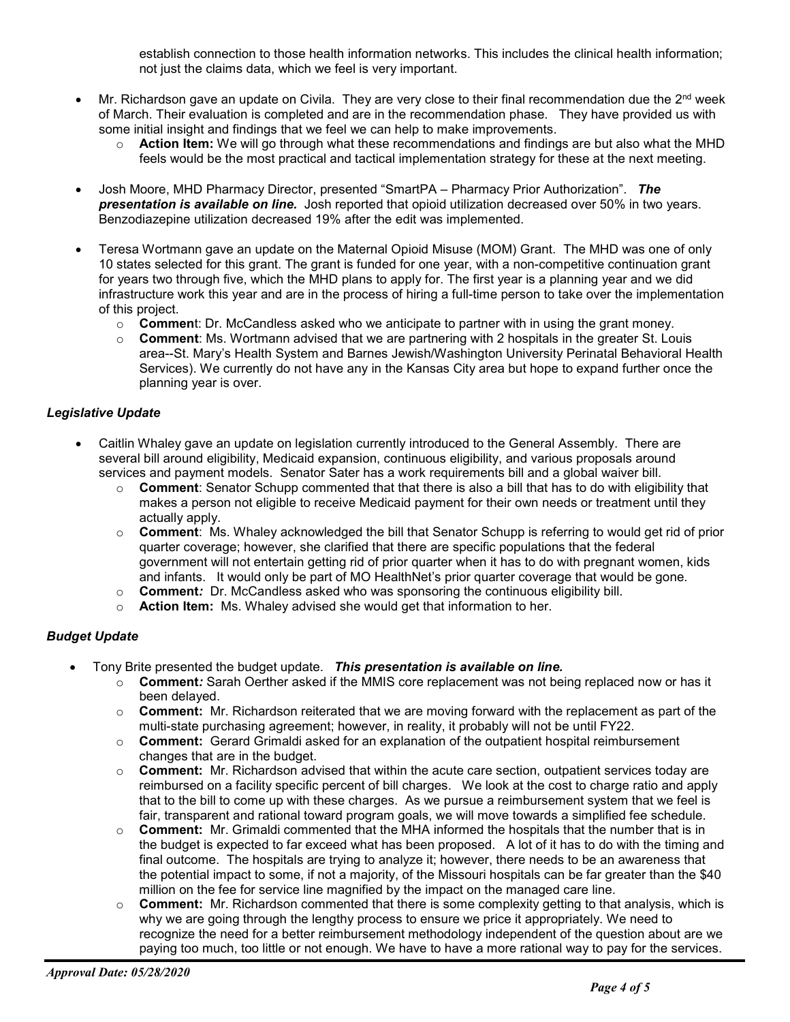establish connection to those health information networks. This includes the clinical health information; not just the claims data, which we feel is very important.

- Mr. Richardson gave an update on Civila. They are very close to their final recommendation due the 2<sup>nd</sup> week of March. Their evaluation is completed and are in the recommendation phase. They have provided us with some initial insight and findings that we feel we can help to make improvements.
	- o **Action Item:** We will go through what these recommendations and findings are but also what the MHD feels would be the most practical and tactical implementation strategy for these at the next meeting.
- Josh Moore, MHD Pharmacy Director, presented "SmartPA Pharmacy Prior Authorization". *The presentation is available on line.* Josh reported that opioid utilization decreased over 50% in two years. Benzodiazepine utilization decreased 19% after the edit was implemented.
- Teresa Wortmann gave an update on the Maternal Opioid Misuse (MOM) Grant. The MHD was one of only 10 states selected for this grant. The grant is funded for one year, with a non-competitive continuation grant for years two through five, which the MHD plans to apply for. The first year is a planning year and we did infrastructure work this year and are in the process of hiring a full-time person to take over the implementation of this project.
	- o **Commen**t: Dr. McCandless asked who we anticipate to partner with in using the grant money.
	- o **Comment**: Ms. Wortmann advised that we are partnering with 2 hospitals in the greater St. Louis area--St. Mary's Health System and Barnes Jewish/Washington University Perinatal Behavioral Health Services). We currently do not have any in the Kansas City area but hope to expand further once the planning year is over.

## *Legislative Update*

- Caitlin Whaley gave an update on legislation currently introduced to the General Assembly. There are several bill around eligibility, Medicaid expansion, continuous eligibility, and various proposals around services and payment models. Senator Sater has a work requirements bill and a global waiver bill.
	- o **Comment**: Senator Schupp commented that that there is also a bill that has to do with eligibility that makes a person not eligible to receive Medicaid payment for their own needs or treatment until they actually apply.
	- o **Comment**: Ms. Whaley acknowledged the bill that Senator Schupp is referring to would get rid of prior quarter coverage; however, she clarified that there are specific populations that the federal government will not entertain getting rid of prior quarter when it has to do with pregnant women, kids and infants. It would only be part of MO HealthNet's prior quarter coverage that would be gone.
	- o **Comment***:* Dr. McCandless asked who was sponsoring the continuous eligibility bill.
	- o **Action Item:** Ms. Whaley advised she would get that information to her.

# *Budget Update*

- Tony Brite presented the budget update. *This presentation is available on line.*
	- o **Comment***:* Sarah Oerther asked if the MMIS core replacement was not being replaced now or has it been delayed.
	- o **Comment:** Mr. Richardson reiterated that we are moving forward with the replacement as part of the multi-state purchasing agreement; however, in reality, it probably will not be until FY22.
	- o **Comment:** Gerard Grimaldi asked for an explanation of the outpatient hospital reimbursement changes that are in the budget.
	- o **Comment:** Mr. Richardson advised that within the acute care section, outpatient services today are reimbursed on a facility specific percent of bill charges. We look at the cost to charge ratio and apply that to the bill to come up with these charges. As we pursue a reimbursement system that we feel is fair, transparent and rational toward program goals, we will move towards a simplified fee schedule.
	- o **Comment:** Mr. Grimaldi commented that the MHA informed the hospitals that the number that is in the budget is expected to far exceed what has been proposed. A lot of it has to do with the timing and final outcome. The hospitals are trying to analyze it; however, there needs to be an awareness that the potential impact to some, if not a majority, of the Missouri hospitals can be far greater than the \$40 million on the fee for service line magnified by the impact on the managed care line.
	- o **Comment:** Mr. Richardson commented that there is some complexity getting to that analysis, which is why we are going through the lengthy process to ensure we price it appropriately. We need to recognize the need for a better reimbursement methodology independent of the question about are we paying too much, too little or not enough. We have to have a more rational way to pay for the services.